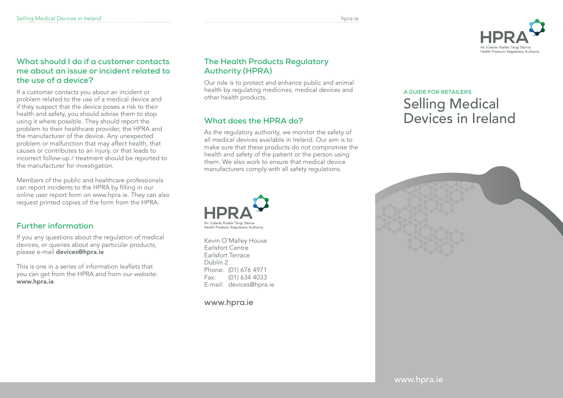

#### **What should I do if a customer contacts me about an issue or incident related to the use of a device?**

If a customer contacts you about an incident or problem related to the use of a medical device and if they suspect that the device poses a risk to their health and safety, you should advise them to stop using it where possible. They should report the problem to their healthcare provider, the HPRA and the manufacturer of the device. Any unexpected problem or malfunction that may affect health, that causes or contributes to an injury, or that leads to incorrect follow-up / treatment should be reported to the manufacturer for investigation.

Members of the public and healthcare professionals can report incidents to the HPRA by filling in our online user report form on www.hpra.ie. They can also request printed copies of the form from the HPRA.

### **Further information**

If you any questions about the regulation of medical devices, or queries about any particular products, please e-mail devices@hpra.ie

This is one in a series of information leaflets that you can get from the HPRA and from our website: www.hpra.ie.

### **The Health Products Regulatory Authority (HPRA)**

Our role is to protect and enhance public and animal health by regulating medicines, medical devices and other health products.

### **What does the HPRA do?**

As the regulatory authority, we monitor the safety of all medical devices available in Ireland. Our aim is to make sure that these products do not compromise the health and safety of the patient or the person using them. We also work to ensure that medical device manufacturers comply with all safety regulations.



Kevin O'Malley House Earlsfort Centre Earlsfort Terrace Dublin 2 Phone: (01) 676 4971 Fax: (01) 634 4033 E-mail: devices@hpra.ie

**www.hpra.ie**

# **A GUIDE FOR RETAILERS** Selling Medical Devices in Ireland